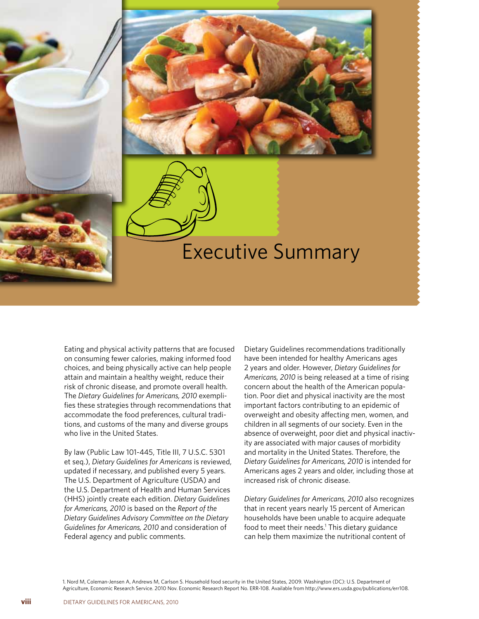

Eating and physical activity patterns that are focused on consuming fewer calories, making informed food choices, and being physically active can help people attain and maintain a healthy weight, reduce their risk of chronic disease, and promote overall health. The *Dietary Guidelines for Americans, 2010* exemplifies these strategies through recommendations that accommodate the food preferences, cultural traditions, and customs of the many and diverse groups who live in the United States.

By law (Public Law 101-445, Title III, 7 U.S.C. 5301 et seq.), *Dietary Guidelines for Americans* is reviewed, updated if necessary, and published every 5 years. The U.S. Department of Agriculture (USDA) and the U.S. Department of Health and Human Services (HHS) jointly create each edition. *Dietary Guidelines for Americans, 2010* is based on the *Report of the Dietary Guidelines Advisory Committee on the Dietary Guidelines for Americans, 2010* and consideration of Federal agency and public comments.

 children in all segments of our society. Even in the absence of overweight, poor diet and physical inactiv- ity are associated with major causes of morbidity and mortality in the United States. Therefore, the Dietary Guidelines recommendations traditionally have been intended for healthy Americans ages 2 years and older. However, *Dietary Guidelines for Americans, 2010* is being released at a time of rising concern about the health of the American population. Poor diet and physical inactivity are the most important factors contributing to an epidemic of overweight and obesity affecting men, women, and *Dietary Guidelines for Americans, 2010* is intended for Americans ages 2 years and older, including those at increased risk of chronic disease.

*Dietary Guidelines for Americans, 2010* also recognizes that in recent years nearly 15 percent of American households have been unable to acquire adequate food to meet their needs.<sup>1</sup> This dietary guidance can help them maximize the nutritional content of

1. Nord M, Coleman-Jensen A, Andrews M, Carlson S. Household food security in the United States, 2009. Washington (DC): U.S. Department of Agriculture, Economic Research Service. 2010 Nov. Economic Research Report No. ERR-108. Available from http://www.ers.usda.gov/publications/err108.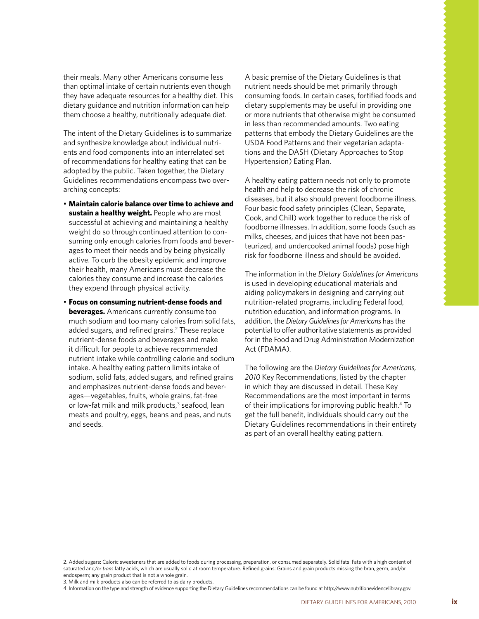their meals. Many other Americans consume less than optimal intake of certain nutrients even though they have adequate resources for a healthy diet. This dietary guidance and nutrition information can help them choose a healthy, nutritionally adequate diet.

The intent of the Dietary Guidelines is to summarize and synthesize knowledge about individual nutrients and food components into an interrelated set of recommendations for healthy eating that can be adopted by the public. Taken together, the Dietary Guidelines recommendations encompass two overarching concepts:

- **Maintain calorie balance over time to achieve and sustain a healthy weight.** People who are most successful at achieving and maintaining a healthy weight do so through continued attention to consuming only enough calories from foods and beverages to meet their needs and by being physically active. To curb the obesity epidemic and improve their health, many Americans must decrease the calories they consume and increase the calories they expend through physical activity.
- **focus on consuming nutrient-dense foods and beverages.** Americans currently consume too much sodium and too many calories from solid fats, added sugars, and refined grains.<sup>2</sup> These replace nutrient-dense foods and beverages and make it difficult for people to achieve recommended nutrient intake while controlling calorie and sodium intake. A healthy eating pattern limits intake of sodium, solid fats, added sugars, and refined grains and emphasizes nutrient-dense foods and beverages—vegetables, fruits, whole grains, fat-free or low-fat milk and milk products,<sup>3</sup> seafood, lean meats and poultry, eggs, beans and peas, and nuts and seeds.

A basic premise of the Dietary Guidelines is that nutrient needs should be met primarily through consuming foods. In certain cases, fortified foods and dietary supplements may be useful in providing one or more nutrients that otherwise might be consumed in less than recommended amounts. Two eating patterns that embody the Dietary Guidelines are the USDA Food Patterns and their vegetarian adaptations and the DASH (Dietary Approaches to Stop Hypertension) Eating Plan.

A healthy eating pattern needs not only to promote health and help to decrease the risk of chronic diseases, but it also should prevent foodborne illness. Four basic food safety principles (Clean, Separate, Cook, and Chill) work together to reduce the risk of foodborne illnesses. In addition, some foods (such as milks, cheeses, and juices that have not been pasteurized, and undercooked animal foods) pose high risk for foodborne illness and should be avoided.

 nutrition-related programs, including Federal food, nutrition education, and information programs. In addition, the *Dietary Guidelines for Americans* has the potential to offer authoritative statements as provided for in the Food and Drug Administration Modernization The information in the *Dietary Guidelines for Americans*  is used in developing educational materials and aiding policymakers in designing and carrying out Act (FDAMA).

The following are the *Dietary Guidelines for Americans, 2010* Key Recommendations, listed by the chapter in which they are discussed in detail. These Key Recommendations are the most important in terms of their implications for improving public health.4 To get the full benefit, individuals should carry out the Dietary Guidelines recommendations in their entirety as part of an overall healthy eating pattern.

3. Milk and milk products also can be referred to as dairy products.

4. Information on the type and strength of evidence supporting the Dietary Guidelines recommendations can be found at http://www.nutritionevidencelibrary.gov.

<sup>2.</sup> Added sugars: Caloric sweeteners that are added to foods during processing, preparation, or consumed separately. Solid fats: Fats with a high content of saturated and/or *trans* fatty acids, which are usually solid at room temperature. Refined grains: Grains and grain products missing the bran, germ, and/or endosperm; any grain product that is not a whole grain.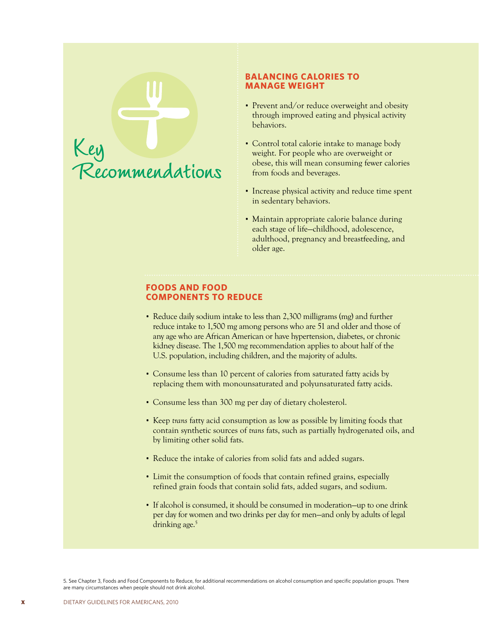

## **Balancing calories to Manage weight**

- Prevent and/or reduce overweight and obesity through improved eating and physical activity behaviors.
- Control total calorie intake to manage body weight. For people who are overweight or obese, this will mean consuming fewer calories from foods and beverages.
- Increase physical activity and reduce time spent in sedentary behaviors.
- Maintain appropriate calorie balance during each stage of life—childhood, adolescence, adulthood, pregnancy and breastfeeding, and older age.

# **foods and food coMPonents to reduce**

- • Reduce daily sodium intake to less than 2,300 milligrams (mg) and further reduce intake to 1,500 mg among persons who are 51 and older and those of any age who are African American or have hypertension, diabetes, or chronic kidney disease. The 1,500 mg recommendation applies to about half of the U.S. population, including children, and the majority of adults.
- Consume less than 10 percent of calories from saturated fatty acids by replacing them with monounsaturated and polyunsaturated fatty acids.
- Consume less than 300 mg per day of dietary cholesterol.
- Keep *trans* fatty acid consumption as low as possible by limiting foods that contain synthetic sources of *trans* fats, such as partially hydrogenated oils, and by limiting other solid fats.
- Reduce the intake of calories from solid fats and added sugars.
- Limit the consumption of foods that contain refined grains, especially refined grain foods that contain solid fats, added sugars, and sodium.
- • If alcohol is consumed, it should be consumed in moderation—up to one drink per day for women and two drinks per day for men—and only by adults of legal drinking age.<sup>5</sup>

5. See Chapter 3, Foods and Food Components to Reduce, for additional recommendations on alcohol consumption and specific population groups. There are many circumstances when people should not drink alcohol.